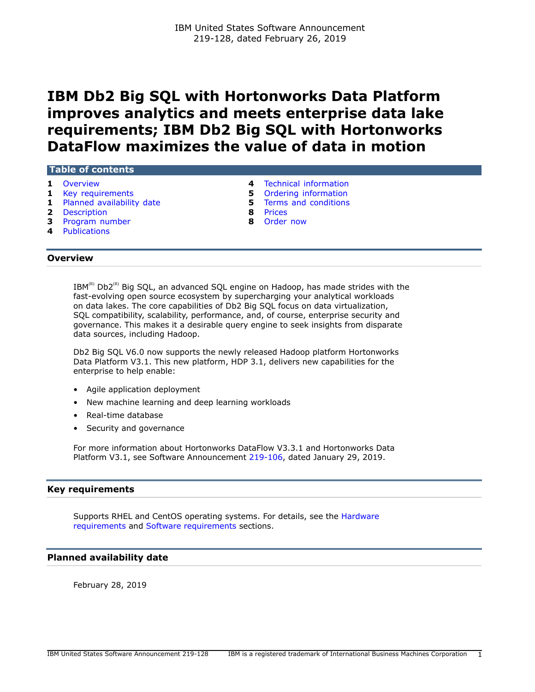# **IBM Db2 Big SQL with Hortonworks Data Platform improves analytics and meets enterprise data lake requirements; IBM Db2 Big SQL with Hortonworks DataFlow maximizes the value of data in motion**

## **Table of contents**

- 
- 
- **1** [Planned availability date](#page-0-2) **5** [Terms and conditions](#page-4-1)
- **2** [Description](#page-1-0) **8** [Prices](#page-7-0)
- **3** [Program number](#page-2-0) **8** [Order now](#page-7-1)
- **4** [Publications](#page-3-1)
- **1** [Overview](#page-0-0) **4** [Technical information](#page-3-0)
- **1** [Key requirements](#page-0-1) **5** [Ordering information](#page-4-0)
	-
	-
	-

## <span id="page-0-0"></span>**Overview**

 $IBM^{(R)}$  Db2<sup>(R)</sup> Big SQL, an advanced SQL engine on Hadoop, has made strides with the fast-evolving open source ecosystem by supercharging your analytical workloads on data lakes. The core capabilities of Db2 Big SQL focus on data virtualization, SQL compatibility, scalability, performance, and, of course, enterprise security and governance. This makes it a desirable query engine to seek insights from disparate data sources, including Hadoop.

Db2 Big SQL V6.0 now supports the newly released Hadoop platform Hortonworks Data Platform V3.1. This new platform, HDP 3.1, delivers new capabilities for the enterprise to help enable:

- Agile application deployment
- New machine learning and deep learning workloads
- Real-time database
- Security and governance

For more information about Hortonworks DataFlow V3.3.1 and Hortonworks Data Platform V3.1, see Software Announcement [219-106,](http://www.ibm.com/common/ssi/cgi-bin/ssialias?infotype=an&subtype=ca&appname=gpateam&supplier=897&letternum=ENUS219-106) dated January 29, 2019.

# <span id="page-0-1"></span>**Key requirements**

Supports RHEL and CentOS operating systems. For details, see the [Hardware](#page-3-2) [requirements](#page-3-2) and [Software requirements](#page-3-3) sections.

# <span id="page-0-2"></span>**Planned availability date**

February 28, 2019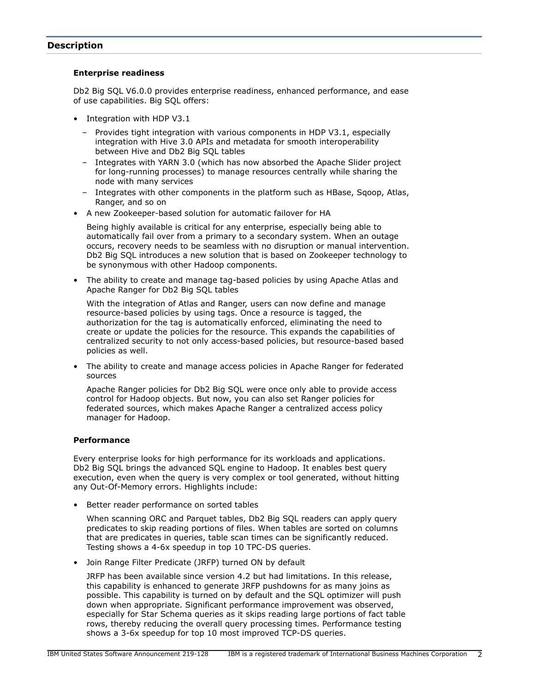# <span id="page-1-0"></span>**Description**

#### **Enterprise readiness**

Db2 Big SQL V6.0.0 provides enterprise readiness, enhanced performance, and ease of use capabilities. Big SQL offers:

- Integration with HDP V3.1
	- Provides tight integration with various components in HDP V3.1, especially integration with Hive 3.0 APIs and metadata for smooth interoperability between Hive and Db2 Big SQL tables
	- Integrates with YARN 3.0 (which has now absorbed the Apache Slider project for long-running processes) to manage resources centrally while sharing the node with many services
	- Integrates with other components in the platform such as HBase, Sqoop, Atlas, Ranger, and so on
- A new Zookeeper-based solution for automatic failover for HA

Being highly available is critical for any enterprise, especially being able to automatically fail over from a primary to a secondary system. When an outage occurs, recovery needs to be seamless with no disruption or manual intervention. Db2 Big SQL introduces a new solution that is based on Zookeeper technology to be synonymous with other Hadoop components.

• The ability to create and manage tag-based policies by using Apache Atlas and Apache Ranger for Db2 Big SQL tables

With the integration of Atlas and Ranger, users can now define and manage resource-based policies by using tags. Once a resource is tagged, the authorization for the tag is automatically enforced, eliminating the need to create or update the policies for the resource. This expands the capabilities of centralized security to not only access-based policies, but resource-based based policies as well.

• The ability to create and manage access policies in Apache Ranger for federated sources

Apache Ranger policies for Db2 Big SQL were once only able to provide access control for Hadoop objects. But now, you can also set Ranger policies for federated sources, which makes Apache Ranger a centralized access policy manager for Hadoop.

# **Performance**

Every enterprise looks for high performance for its workloads and applications. Db2 Big SQL brings the advanced SQL engine to Hadoop. It enables best query execution, even when the query is very complex or tool generated, without hitting any Out-Of-Memory errors. Highlights include:

• Better reader performance on sorted tables

When scanning ORC and Parquet tables, Db2 Big SQL readers can apply query predicates to skip reading portions of files. When tables are sorted on columns that are predicates in queries, table scan times can be significantly reduced. Testing shows a 4-6x speedup in top 10 TPC-DS queries.

• Join Range Filter Predicate (JRFP) turned ON by default

JRFP has been available since version 4.2 but had limitations. In this release, this capability is enhanced to generate JRFP pushdowns for as many joins as possible. This capability is turned on by default and the SQL optimizer will push down when appropriate. Significant performance improvement was observed, especially for Star Schema queries as it skips reading large portions of fact table rows, thereby reducing the overall query processing times. Performance testing shows a 3-6x speedup for top 10 most improved TCP-DS queries.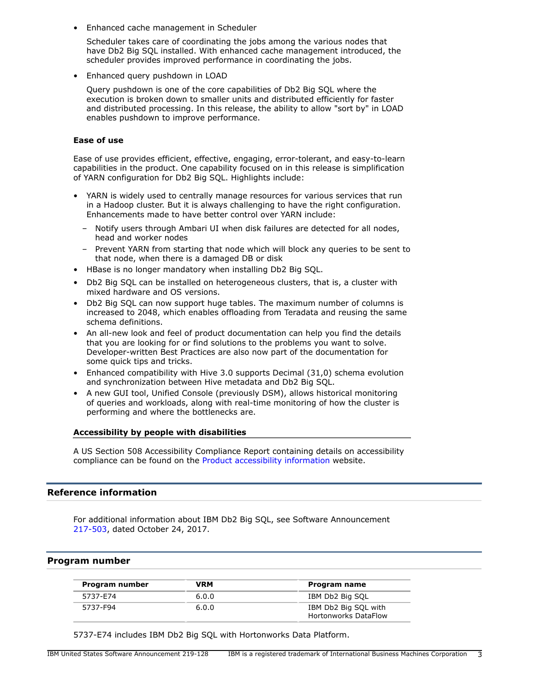• Enhanced cache management in Scheduler

Scheduler takes care of coordinating the jobs among the various nodes that have Db2 Big SQL installed. With enhanced cache management introduced, the scheduler provides improved performance in coordinating the jobs.

• Enhanced query pushdown in LOAD

Query pushdown is one of the core capabilities of Db2 Big SQL where the execution is broken down to smaller units and distributed efficiently for faster and distributed processing. In this release, the ability to allow "sort by" in LOAD enables pushdown to improve performance.

#### **Ease of use**

Ease of use provides efficient, effective, engaging, error-tolerant, and easy-to-learn capabilities in the product. One capability focused on in this release is simplification of YARN configuration for Db2 Big SQL. Highlights include:

- YARN is widely used to centrally manage resources for various services that run in a Hadoop cluster. But it is always challenging to have the right configuration. Enhancements made to have better control over YARN include:
	- Notify users through Ambari UI when disk failures are detected for all nodes, head and worker nodes
	- Prevent YARN from starting that node which will block any queries to be sent to that node, when there is a damaged DB or disk
- HBase is no longer mandatory when installing Db2 Big SQL.
- Db2 Big SQL can be installed on heterogeneous clusters, that is, a cluster with mixed hardware and OS versions.
- Db2 Big SQL can now support huge tables. The maximum number of columns is increased to 2048, which enables offloading from Teradata and reusing the same schema definitions.
- An all-new look and feel of product documentation can help you find the details that you are looking for or find solutions to the problems you want to solve. Developer-written Best Practices are also now part of the documentation for some quick tips and tricks.
- Enhanced compatibility with Hive 3.0 supports Decimal (31,0) schema evolution and synchronization between Hive metadata and Db2 Big SQL.
- A new GUI tool, Unified Console (previously DSM), allows historical monitoring of queries and workloads, along with real-time monitoring of how the cluster is performing and where the bottlenecks are.

#### **Accessibility by people with disabilities**

A US Section 508 Accessibility Compliance Report containing details on accessibility compliance can be found on the [Product accessibility information](https://able.ibm.com/request/) website.

# **Reference information**

For additional information about IBM Db2 Big SQL, see Software Announcement [217-503](http://www.ibm.com/common/ssi/cgi-bin/ssialias?infotype=an&subtype=ca&appname=gpateam&supplier=897&letternum=ENUS217-503), dated October 24, 2017.

#### <span id="page-2-0"></span>**Program number**

| Program number | VRM   | Program name                                        |
|----------------|-------|-----------------------------------------------------|
| 5737-E74       | 6.0.0 | IBM Db2 Big SQL                                     |
| 5737-F94       | 6.0.0 | IBM Db2 Big SQL with<br><b>Hortonworks DataFlow</b> |

5737-E74 includes IBM Db2 Big SQL with Hortonworks Data Platform.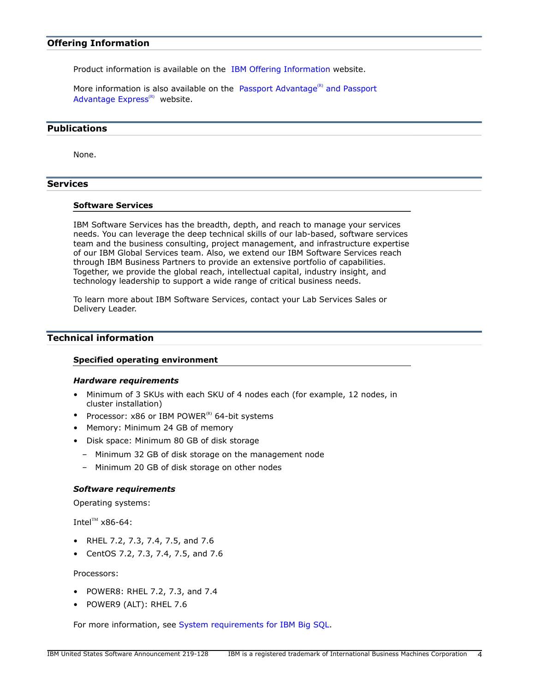# **Offering Information**

Product information is available on the [IBM Offering Information](http://www.ibm.com/common/ssi) website.

More information is also available on the [Passport Advantage](http://www.ibm.com/software/passportadvantage)<sup>(R)</sup> and Passport [Advantage Express](http://www.ibm.com/software/passportadvantage) $(R)$  website.

# <span id="page-3-1"></span>**Publications**

None.

# **Services**

#### **Software Services**

IBM Software Services has the breadth, depth, and reach to manage your services needs. You can leverage the deep technical skills of our lab-based, software services team and the business consulting, project management, and infrastructure expertise of our IBM Global Services team. Also, we extend our IBM Software Services reach through IBM Business Partners to provide an extensive portfolio of capabilities. Together, we provide the global reach, intellectual capital, industry insight, and technology leadership to support a wide range of critical business needs.

To learn more about IBM Software Services, contact your Lab Services Sales or Delivery Leader.

# <span id="page-3-0"></span>**Technical information**

#### **Specified operating environment**

#### <span id="page-3-2"></span>*Hardware requirements*

- Minimum of 3 SKUs with each SKU of 4 nodes each (for example, 12 nodes, in cluster installation)
- Processor:  $x86$  or IBM POWER<sup>(R)</sup> 64-bit systems
- Memory: Minimum 24 GB of memory
- Disk space: Minimum 80 GB of disk storage
	- Minimum 32 GB of disk storage on the management node
	- Minimum 20 GB of disk storage on other nodes

## <span id="page-3-3"></span>*Software requirements*

Operating systems:

Intel $T^M$  x86-64:

- RHEL 7.2, 7.3, 7.4, 7.5, and 7.6
- CentOS 7.2, 7.3, 7.4, 7.5, and 7.6

Processors:

- POWER8: RHEL 7.2, 7.3, and 7.4
- POWER9 (ALT): RHEL 7.6

For more information, see [System requirements for IBM Big SQL.](https://www-01.ibm.com/support/docview.wss?uid=swg27027565)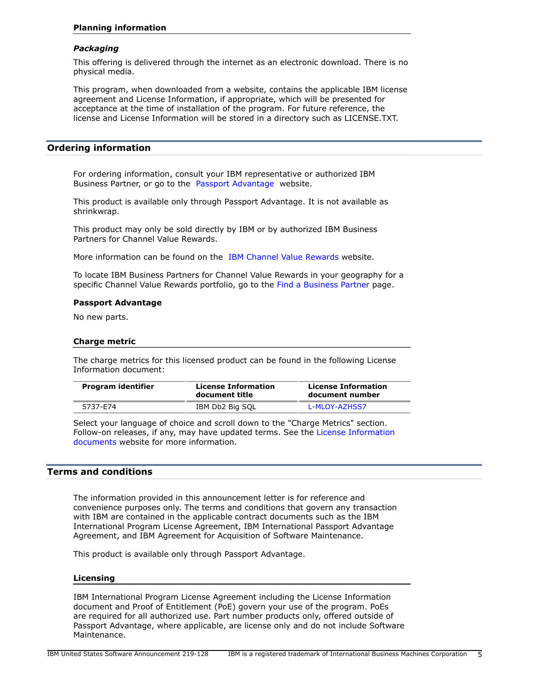## *Packaging*

This offering is delivered through the internet as an electronic download. There is no physical media.

This program, when downloaded from a website, contains the applicable IBM license agreement and License Information, if appropriate, which will be presented for acceptance at the time of installation of the program. For future reference, the license and License Information will be stored in a directory such as LICENSE.TXT.

## <span id="page-4-0"></span>**Ordering information**

For ordering information, consult your IBM representative or authorized IBM Business Partner, or go to the [Passport Advantage](http://www.ibm.com/software/support/pa.html) website.

This product is available only through Passport Advantage. It is not available as shrinkwrap.

This product may only be sold directly by IBM or by authorized IBM Business Partners for Channel Value Rewards.

More information can be found on the [IBM Channel Value Rewards](http://www.ibm.com/partnerworld/page/svp_authorized_portfolio) website.

To locate IBM Business Partners for Channel Value Rewards in your geography for a specific Channel Value Rewards portfolio, go to the [Find a Business Partner](http://www.ibm.com/partnerworld/wps/bplocator/) page.

## **Passport Advantage**

No new parts.

## **Charge metric**

The charge metrics for this licensed product can be found in the following License Information document:

| document title  | <b>License Information</b><br>document number |
|-----------------|-----------------------------------------------|
| IBM Db2 Big SQL | L-MLOY-AZHSS7                                 |
|                 | <b>License Information</b>                    |

Select your language of choice and scroll down to the "Charge Metrics" section. Follow-on releases, if any, may have updated terms. See the [License Information](https://www.ibm.com/software/sla/sladb.nsf/search?OpenForm) [documents](https://www.ibm.com/software/sla/sladb.nsf/search?OpenForm) website for more information.

# <span id="page-4-1"></span>**Terms and conditions**

The information provided in this announcement letter is for reference and convenience purposes only. The terms and conditions that govern any transaction with IBM are contained in the applicable contract documents such as the IBM International Program License Agreement, IBM International Passport Advantage Agreement, and IBM Agreement for Acquisition of Software Maintenance.

This product is available only through Passport Advantage.

#### **Licensing**

IBM International Program License Agreement including the License Information document and Proof of Entitlement (PoE) govern your use of the program. PoEs are required for all authorized use. Part number products only, offered outside of Passport Advantage, where applicable, are license only and do not include Software Maintenance.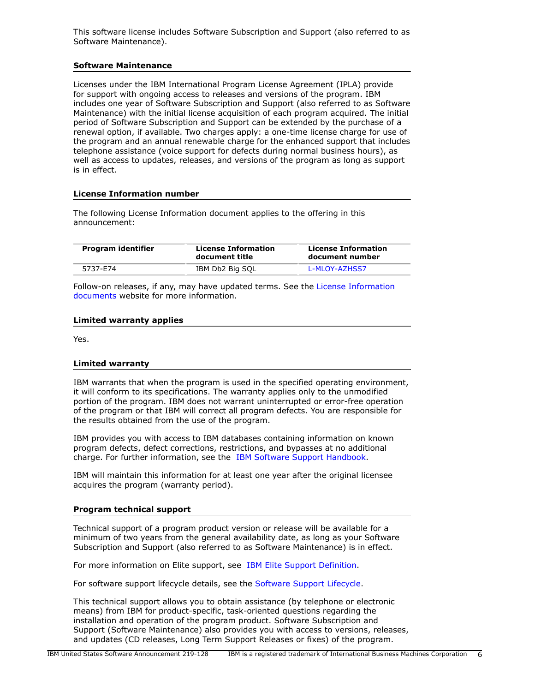This software license includes Software Subscription and Support (also referred to as Software Maintenance).

#### **Software Maintenance**

Licenses under the IBM International Program License Agreement (IPLA) provide for support with ongoing access to releases and versions of the program. IBM includes one year of Software Subscription and Support (also referred to as Software Maintenance) with the initial license acquisition of each program acquired. The initial period of Software Subscription and Support can be extended by the purchase of a renewal option, if available. Two charges apply: a one-time license charge for use of the program and an annual renewable charge for the enhanced support that includes telephone assistance (voice support for defects during normal business hours), as well as access to updates, releases, and versions of the program as long as support is in effect.

## **License Information number**

The following License Information document applies to the offering in this announcement:

| Program identifier | <b>License Information</b><br>document title | <b>License Information</b><br>document number |
|--------------------|----------------------------------------------|-----------------------------------------------|
| 5737-E74           | IBM Db2 Big SQL                              | L-MLOY-AZHSS7                                 |

Follow-on releases, if any, may have updated terms. See the [License Information](https://www.ibm.com/software/sla/sladb.nsf/search?OpenForm) [documents](https://www.ibm.com/software/sla/sladb.nsf/search?OpenForm) website for more information.

#### **Limited warranty applies**

Yes.

#### **Limited warranty**

IBM warrants that when the program is used in the specified operating environment, it will conform to its specifications. The warranty applies only to the unmodified portion of the program. IBM does not warrant uninterrupted or error-free operation of the program or that IBM will correct all program defects. You are responsible for the results obtained from the use of the program.

IBM provides you with access to IBM databases containing information on known program defects, defect corrections, restrictions, and bypasses at no additional charge. For further information, see the [IBM Software Support Handbook.](http://www.ibm.com/support/customercare/sas/f/handbook/home.html)

IBM will maintain this information for at least one year after the original licensee acquires the program (warranty period).

#### **Program technical support**

Technical support of a program product version or release will be available for a minimum of two years from the general availability date, as long as your Software Subscription and Support (also referred to as Software Maintenance) is in effect.

For more information on Elite support, see [IBM Elite Support Definition](https://developer.ibm.com/hadoop/2017/11/08/ibm-elite-support-definition/).

For software support lifecycle details, see the [Software Support Lifecycle.](https://developer.ibm.com/hadoop/2017/12/01/ibm-bigsql-software-support-lifecycle/)

This technical support allows you to obtain assistance (by telephone or electronic means) from IBM for product-specific, task-oriented questions regarding the installation and operation of the program product. Software Subscription and Support (Software Maintenance) also provides you with access to versions, releases, and updates (CD releases, Long Term Support Releases or fixes) of the program.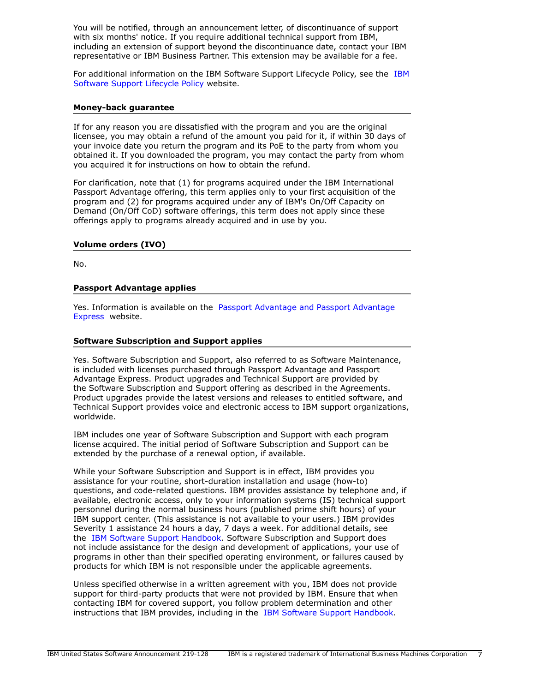You will be notified, through an announcement letter, of discontinuance of support with six months' notice. If you require additional technical support from IBM, including an extension of support beyond the discontinuance date, contact your IBM representative or IBM Business Partner. This extension may be available for a fee.

For additional information on the IBM Software Support Lifecycle Policy, see the [IBM](http://www.ibm.com/software/support/lifecycle/cd-policy.html) [Software Support Lifecycle Policy](http://www.ibm.com/software/support/lifecycle/cd-policy.html) website.

#### **Money-back guarantee**

If for any reason you are dissatisfied with the program and you are the original licensee, you may obtain a refund of the amount you paid for it, if within 30 days of your invoice date you return the program and its PoE to the party from whom you obtained it. If you downloaded the program, you may contact the party from whom you acquired it for instructions on how to obtain the refund.

For clarification, note that (1) for programs acquired under the IBM International Passport Advantage offering, this term applies only to your first acquisition of the program and (2) for programs acquired under any of IBM's On/Off Capacity on Demand (On/Off CoD) software offerings, this term does not apply since these offerings apply to programs already acquired and in use by you.

#### **Volume orders (IVO)**

No.

## **Passport Advantage applies**

Yes. Information is available on the [Passport Advantage and Passport Advantage](http://www.ibm.com/software/passportadvantage) [Express](http://www.ibm.com/software/passportadvantage) website.

## **Software Subscription and Support applies**

Yes. Software Subscription and Support, also referred to as Software Maintenance, is included with licenses purchased through Passport Advantage and Passport Advantage Express. Product upgrades and Technical Support are provided by the Software Subscription and Support offering as described in the Agreements. Product upgrades provide the latest versions and releases to entitled software, and Technical Support provides voice and electronic access to IBM support organizations, worldwide.

IBM includes one year of Software Subscription and Support with each program license acquired. The initial period of Software Subscription and Support can be extended by the purchase of a renewal option, if available.

While your Software Subscription and Support is in effect, IBM provides you assistance for your routine, short-duration installation and usage (how-to) questions, and code-related questions. IBM provides assistance by telephone and, if available, electronic access, only to your information systems (IS) technical support personnel during the normal business hours (published prime shift hours) of your IBM support center. (This assistance is not available to your users.) IBM provides Severity 1 assistance 24 hours a day, 7 days a week. For additional details, see the [IBM Software Support Handbook](http://www.ibm.com/support/customercare/sas/f/handbook/home.html). Software Subscription and Support does not include assistance for the design and development of applications, your use of programs in other than their specified operating environment, or failures caused by products for which IBM is not responsible under the applicable agreements.

Unless specified otherwise in a written agreement with you, IBM does not provide support for third-party products that were not provided by IBM. Ensure that when contacting IBM for covered support, you follow problem determination and other instructions that IBM provides, including in the [IBM Software Support Handbook](http://www.ibm.com/support/customercare/sas/f/handbook/home.html).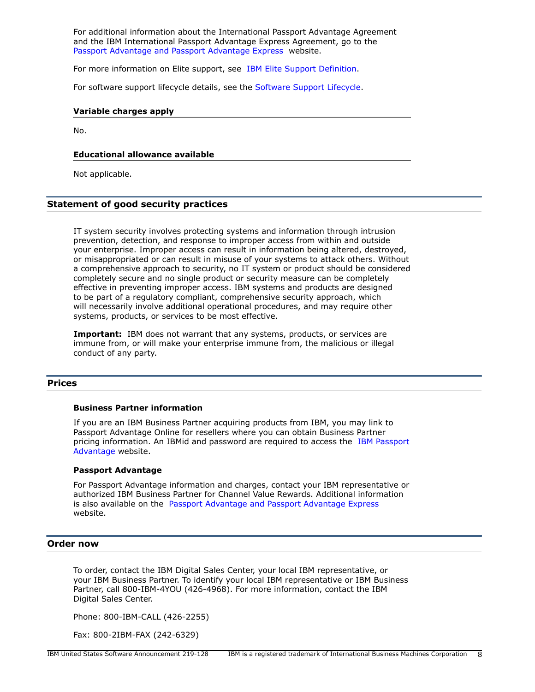For additional information about the International Passport Advantage Agreement and the IBM International Passport Advantage Express Agreement, go to the [Passport Advantage and Passport Advantage Express](http://www.ibm.com/software/passportadvantage) website.

For more information on Elite support, see [IBM Elite Support Definition](https://developer.ibm.com/hadoop/2017/11/08/ibm-elite-support-definition/).

For software support lifecycle details, see the [Software Support Lifecycle.](https://developer.ibm.com/hadoop/2017/12/01/ibm-bigsql-software-support-lifecycle/)

#### **Variable charges apply**

No.

#### **Educational allowance available**

Not applicable.

#### **Statement of good security practices**

IT system security involves protecting systems and information through intrusion prevention, detection, and response to improper access from within and outside your enterprise. Improper access can result in information being altered, destroyed, or misappropriated or can result in misuse of your systems to attack others. Without a comprehensive approach to security, no IT system or product should be considered completely secure and no single product or security measure can be completely effective in preventing improper access. IBM systems and products are designed to be part of a regulatory compliant, comprehensive security approach, which will necessarily involve additional operational procedures, and may require other systems, products, or services to be most effective.

**Important:** IBM does not warrant that any systems, products, or services are immune from, or will make your enterprise immune from, the malicious or illegal conduct of any party.

## <span id="page-7-0"></span>**Prices**

#### **Business Partner information**

If you are an IBM Business Partner acquiring products from IBM, you may link to Passport Advantage Online for resellers where you can obtain Business Partner pricing information. An IBMid and password are required to access the [IBM Passport](https://www.ibm.com/software/howtobuy/passportadvantage/paoreseller) [Advantage](https://www.ibm.com/software/howtobuy/passportadvantage/paoreseller) website.

#### **Passport Advantage**

For Passport Advantage information and charges, contact your IBM representative or authorized IBM Business Partner for Channel Value Rewards. Additional information is also available on the [Passport Advantage and Passport Advantage Express](http://www.ibm.com/software/passportadvantage)  website.

## <span id="page-7-1"></span>**Order now**

To order, contact the IBM Digital Sales Center, your local IBM representative, or your IBM Business Partner. To identify your local IBM representative or IBM Business Partner, call 800-IBM-4YOU (426-4968). For more information, contact the IBM Digital Sales Center.

Phone: 800-IBM-CALL (426-2255)

Fax: 800-2IBM-FAX (242-6329)